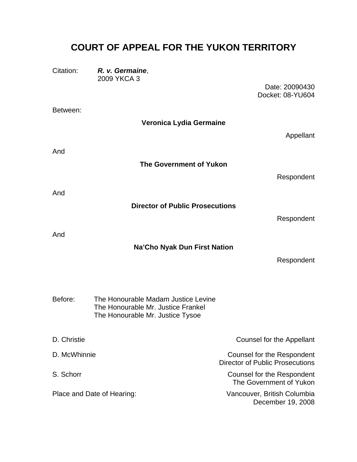# **COURT OF APPEAL FOR THE YUKON TERRITORY**

| Citation:                  | R. v. Germaine,<br>2009 YKCA 3                                                                                |                                                                      |
|----------------------------|---------------------------------------------------------------------------------------------------------------|----------------------------------------------------------------------|
|                            |                                                                                                               | Date: 20090430<br>Docket: 08-YU604                                   |
| Between:                   |                                                                                                               |                                                                      |
|                            | Veronica Lydia Germaine                                                                                       |                                                                      |
|                            |                                                                                                               | Appellant                                                            |
| And                        |                                                                                                               |                                                                      |
|                            | <b>The Government of Yukon</b>                                                                                |                                                                      |
|                            |                                                                                                               | Respondent                                                           |
| And                        |                                                                                                               |                                                                      |
|                            | <b>Director of Public Prosecutions</b>                                                                        |                                                                      |
|                            |                                                                                                               | Respondent                                                           |
| And                        |                                                                                                               |                                                                      |
|                            | Na'Cho Nyak Dun First Nation                                                                                  | Respondent                                                           |
|                            |                                                                                                               |                                                                      |
|                            |                                                                                                               |                                                                      |
| Before:                    | The Honourable Madam Justice Levine<br>The Honourable Mr. Justice Frankel<br>The Honourable Mr. Justice Tysoe |                                                                      |
| D. Christie                |                                                                                                               | <b>Counsel for the Appellant</b>                                     |
| D. McWhinnie               |                                                                                                               | Counsel for the Respondent<br><b>Director of Public Prosecutions</b> |
| S. Schorr                  |                                                                                                               | Counsel for the Respondent<br>The Government of Yukon                |
| Place and Date of Hearing: |                                                                                                               | Vancouver, British Columbia<br>December 19, 2008                     |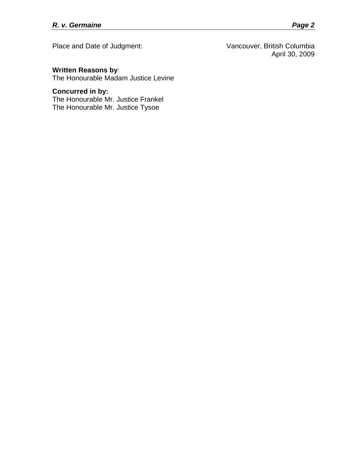Place and Date of Judgment: Vancouver, British Columbia April 30, 2009

## **Written Reasons by**:

The Honourable Madam Justice Levine

## **Concurred in by:**

The Honourable Mr. Justice Frankel The Honourable Mr. Justice Tysoe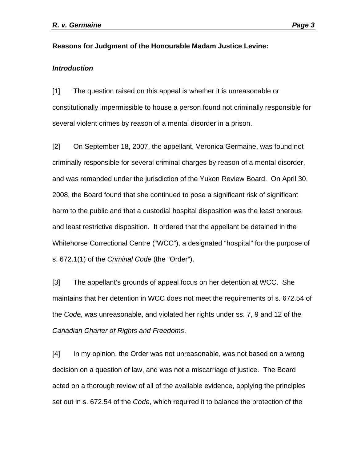#### **Reasons for Judgment of the Honourable Madam Justice Levine:**

#### *Introduction*

[1] The question raised on this appeal is whether it is unreasonable or constitutionally impermissible to house a person found not criminally responsible for several violent crimes by reason of a mental disorder in a prison.

[2] On September 18, 2007, the appellant, Veronica Germaine, was found not criminally responsible for several criminal charges by reason of a mental disorder, and was remanded under the jurisdiction of the Yukon Review Board. On April 30, 2008, the Board found that she continued to pose a significant risk of significant harm to the public and that a custodial hospital disposition was the least onerous and least restrictive disposition. It ordered that the appellant be detained in the Whitehorse Correctional Centre ("WCC"), a designated "hospital" for the purpose of s. 672.1(1) of the *Criminal Code* (the "Order").

[3] The appellant's grounds of appeal focus on her detention at WCC. She maintains that her detention in WCC does not meet the requirements of s. 672.54 of the *Code*, was unreasonable, and violated her rights under ss. 7, 9 and 12 of the *Canadian Charter of Rights and Freedoms*.

[4] In my opinion, the Order was not unreasonable, was not based on a wrong decision on a question of law, and was not a miscarriage of justice. The Board acted on a thorough review of all of the available evidence, applying the principles set out in s. 672.54 of the *Code*, which required it to balance the protection of the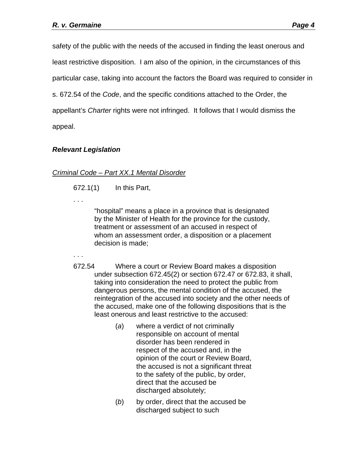safety of the public with the needs of the accused in finding the least onerous and least restrictive disposition. I am also of the opinion, in the circumstances of this particular case, taking into account the factors the Board was required to consider in s. 672.54 of the *Code*, and the specific conditions attached to the Order, the appellant's *Charter* rights were not infringed. It follows that I would dismiss the appeal.

## *Relevant Legislation*

## *Criminal Code – Part XX.1 Mental Disorder*

[672.1\(](http://laws.justice.gc.ca/fr/ShowDoc/cs/C-46/bo-ga:l_XX_1::bo-ga:l_XXI/fr?page=14&isPrinting=false#codese:672_1)1) In this Part,

. . .

"hospital" means a place in a province that is designated by the Minister of Health for the province for the custody, treatment or assessment of an accused in respect of whom an assessment order, a disposition or a placement decision is made;

. . .

- [672.54](http://laws.justice.gc.ca/fr/ShowDoc/cs/C-46/bo-ga:l_XX_1::bo-ga:l_XXI/fr?page=14&isPrinting=false#codese:672_54) Where a court or Review Board makes a disposition under subsection 672.45(2) or section 672.47 or 672.83, it shall, taking into consideration the need to protect the public from dangerous persons, the mental condition of the accused, the reintegration of the accused into society and the other needs of the accused, make one of the following dispositions that is the least onerous and least restrictive to the accused:
	- (*a*) where a verdict of not criminally responsible on account of mental disorder has been rendered in respect of the accused and, in the opinion of the court or Review Board, the accused is not a significant threat to the safety of the public, by order, direct that the accused be discharged absolutely;
	- (*b*) by order, direct that the accused be discharged subject to such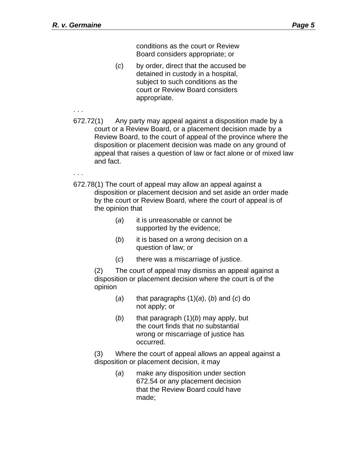conditions as the court or Review Board considers appropriate; or

- (*c*) by order, direct that the accused be detained in custody in a hospital, subject to such conditions as the court or Review Board considers appropriate.
- [672.72\(](http://laws.justice.gc.ca/fr/ShowDoc/cs/C-46/bo-ga:l_XX_1::bo-ga:l_XXI/fr?page=14&isPrinting=false#codese:672_72)1) Any party may appeal against a disposition made by a court or a Review Board, or a placement decision made by a Review Board, to the court of appeal of the province where the disposition or placement decision was made on any ground of appeal that raises a question of law or fact alone or of mixed law and fact.

. . .

. . .

- [672.78\(](http://laws.justice.gc.ca/fr/ShowDoc/cs/C-46/bo-ga:l_XX_1::bo-ga:l_XXI/fr?page=14&isPrinting=false#codese:672_78)1) The court of appeal may allow an appeal against a disposition or placement decision and set aside an order made by the court or Review Board, where the court of appeal is of the opinion that
	- (*a*) it is unreasonable or cannot be supported by the evidence;
	- (*b*) it is based on a wrong decision on a question of law; or
	- (*c*) there was a miscarriage of justice.

 (2) The court of appeal may dismiss an appeal against a disposition or placement decision where the court is of the opinion

- (*a*) that paragraphs (1)(*a*), (*b*) and (*c*) do not apply; or
- (*b*) that paragraph (1)(*b*) may apply, but the court finds that no substantial wrong or miscarriage of justice has occurred.

 (3) Where the court of appeal allows an appeal against a disposition or placement decision, it may

> (*a*) make any disposition under section 672.54 or any placement decision that the Review Board could have made;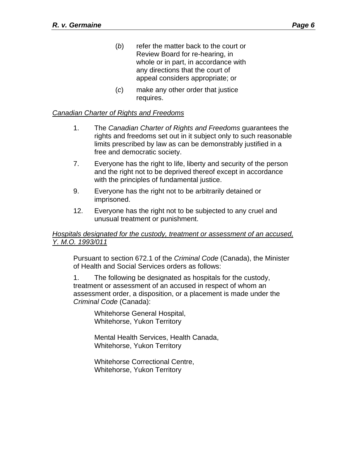- (*b*) refer the matter back to the court or Review Board for re-hearing, in whole or in part, in accordance with any directions that the court of appeal considers appropriate; or
- (*c*) make any other order that justice requires.

## *Canadian Charter of Rights and Freedoms*

- 1. The *Canadian Charter of Rights and Freedoms* guarantees the rights and freedoms set out in it subject only to such reasonable limits prescribed by law as can be demonstrably justified in a free and democratic society.
- 7. Everyone has the right to life, liberty and security of the person and the right not to be deprived thereof except in accordance with the principles of fundamental justice.
- 9. Everyone has the right not to be arbitrarily detained or imprisoned.
- 12. Everyone has the right not to be subjected to any cruel and unusual treatment or punishment.

#### *Hospitals designated for the custody, treatment or assessment of an accused, Y. M.O. 1993/011*

Pursuant to section 672.1 of the *Criminal Code* (Canada), the Minister of Health and Social Services orders as follows:

1. The following be designated as hospitals for the custody, treatment or assessment of an accused in respect of whom an assessment order, a disposition, or a placement is made under the *Criminal Code* (Canada):

> Whitehorse General Hospital, Whitehorse, Yukon Territory

Mental Health Services, Health Canada, Whitehorse, Yukon Territory

Whitehorse Correctional Centre, Whitehorse, Yukon Territory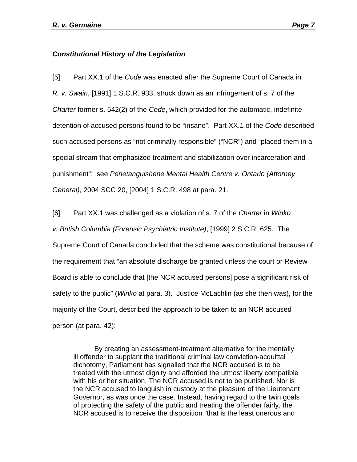#### *Constitutional History of the Legislation*

[5] Part XX.1 of the *Code* was enacted after the Supreme Court of Canada in *R. v. Swain*, [1991] 1 S.C.R. 933, struck down as an infringement of s. 7 of the *Charter* former s. 542(2) of the *Code*, which provided for the automatic, indefinite detention of accused persons found to be "insane". Part XX.1 of the *Code* described such accused persons as "not criminally responsible" ("NCR") and "placed them in a special stream that emphasized treatment and stabilization over incarceration and punishment": see *Penetanguishene Mental Health Centre v. Ontario (Attorney General)*, 2004 SCC 20, [2004] 1 S.C.R. 498 at para. 21.

[6] Part XX.1 was challenged as a violation of s. 7 of the *Charter* in *Winko v. British Columbia (Forensic Psychiatric Institute)*, [1999] 2 S.C.R. 625. The Supreme Court of Canada concluded that the scheme was constitutional because of the requirement that "an absolute discharge be granted unless the court or Review Board is able to conclude that [the NCR accused persons] pose a significant risk of safety to the public" (*Winko* at para. 3). Justice McLachlin (as she then was), for the majority of the Court, described the approach to be taken to an NCR accused person (at para. 42):

By creating an assessment-treatment alternative for the mentally ill offender to supplant the traditional criminal law conviction-acquittal dichotomy, Parliament has signalled that the NCR accused is to be treated with the utmost dignity and afforded the utmost liberty compatible with his or her situation. The NCR accused is not to be punished. Nor is the NCR accused to languish in custody at the pleasure of the Lieutenant Governor, as was once the case. Instead, having regard to the twin goals of protecting the safety of the public and treating the offender fairly, the NCR accused is to receive the disposition "that is the least onerous and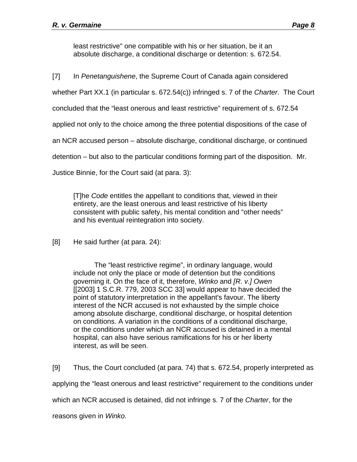least restrictive" one compatible with his or her situation, be it an absolute discharge, a conditional discharge or detention: s. 672.54.

[7] In *Penetanguishene*, the Supreme Court of Canada again considered

whether Part XX.1 (in particular s. 672.54(c)) infringed s. 7 of the *Charter*. The Court

concluded that the "least onerous and least restrictive" requirement of s. 672.54

applied not only to the choice among the three potential dispositions of the case of

an NCR accused person – absolute discharge, conditional discharge, or continued

detention – but also to the particular conditions forming part of the disposition. Mr.

Justice Binnie, for the Court said (at para. 3):

[T]he *Code* entitles the appellant to conditions that, viewed in their entirety, are the least onerous and least restrictive of his liberty consistent with public safety, his mental condition and "other needs" and his eventual reintegration into society.

[8] He said further (at para. 24):

The "least restrictive regime", in ordinary language, would include not only the place or mode of detention but the conditions governing it. On the face of it, therefore, *Winko* and *[R. v.] Owen* [ $[2003]$  1 S.C.R. 779, 2003 SCC 33] would appear to have decided the point of statutory interpretation in the appellant's favour. The liberty interest of the NCR accused is not exhausted by the simple choice among absolute discharge, conditional discharge, or hospital detention on conditions. A variation in the conditions of a conditional discharge, or the conditions under which an NCR accused is detained in a mental hospital, can also have serious ramifications for his or her liberty interest, as will be seen.

[9] Thus, the Court concluded (at para. 74) that s. 672.54, properly interpreted as

applying the "least onerous and least restrictive" requirement to the conditions under

which an NCR accused is detained, did not infringe s. 7 of the *Charter*, for the

reasons given in *Winko*.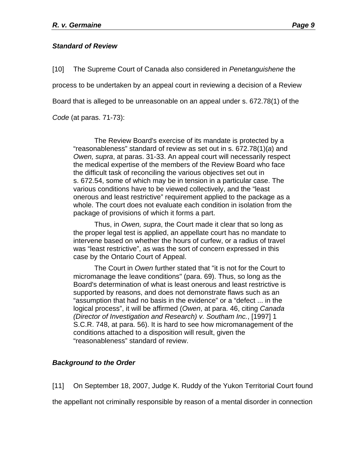### *Standard of Review*

[10] The Supreme Court of Canada also considered in *Penetanguishene* the process to be undertaken by an appeal court in reviewing a decision of a Review Board that is alleged to be unreasonable on an appeal under s. 672.78(1) of the *Code* (at paras. 71-73):

The Review Board's exercise of its mandate is protected by a "reasonableness" standard of review as set out in s. 672.78(1)(*a*) and *Owen, supra*, at paras. 31-33. An appeal court will necessarily respect the medical expertise of the members of the Review Board who face the difficult task of reconciling the various objectives set out in s. 672.54, some of which may be in tension in a particular case. The various conditions have to be viewed collectively, and the "least onerous and least restrictive" requirement applied to the package as a whole. The court does not evaluate each condition in isolation from the package of provisions of which it forms a part.

Thus, in *Owen, supra*, the Court made it clear that so long as the proper legal test is applied, an appellate court has no mandate to intervene based on whether the hours of curfew, or a radius of travel was "least restrictive", as was the sort of concern expressed in this case by the Ontario Court of Appeal.

The Court in *Owen* further stated that "it is not for the Court to micromanage the leave conditions" (para. 69). Thus, so long as the Board's determination of what is least onerous and least restrictive is supported by reasons, and does not demonstrate flaws such as an "assumption that had no basis in the evidence" or a "defect ... in the logical process", it will be affirmed (*Owen*, at para. 46, citing *Canada (Director of Investigation and Research) v. Southam Inc.*, [1997] 1 S.C.R. 748, at para. 56). It is hard to see how micromanagement of the conditions attached to a disposition will result, given the "reasonableness" standard of review.

## *Background to the Order*

[11] On September 18, 2007, Judge K. Ruddy of the Yukon Territorial Court found

the appellant not criminally responsible by reason of a mental disorder in connection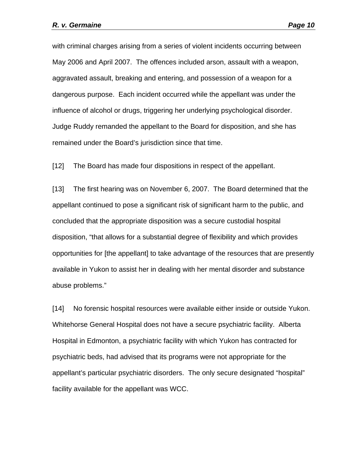with criminal charges arising from a series of violent incidents occurring between May 2006 and April 2007. The offences included arson, assault with a weapon, aggravated assault, breaking and entering, and possession of a weapon for a dangerous purpose. Each incident occurred while the appellant was under the influence of alcohol or drugs, triggering her underlying psychological disorder. Judge Ruddy remanded the appellant to the Board for disposition, and she has remained under the Board's jurisdiction since that time.

[12] The Board has made four dispositions in respect of the appellant.

[13] The first hearing was on November 6, 2007. The Board determined that the appellant continued to pose a significant risk of significant harm to the public, and concluded that the appropriate disposition was a secure custodial hospital disposition, "that allows for a substantial degree of flexibility and which provides opportunities for [the appellant] to take advantage of the resources that are presently available in Yukon to assist her in dealing with her mental disorder and substance abuse problems."

[14] No forensic hospital resources were available either inside or outside Yukon. Whitehorse General Hospital does not have a secure psychiatric facility. Alberta Hospital in Edmonton, a psychiatric facility with which Yukon has contracted for psychiatric beds, had advised that its programs were not appropriate for the appellant's particular psychiatric disorders. The only secure designated "hospital" facility available for the appellant was WCC.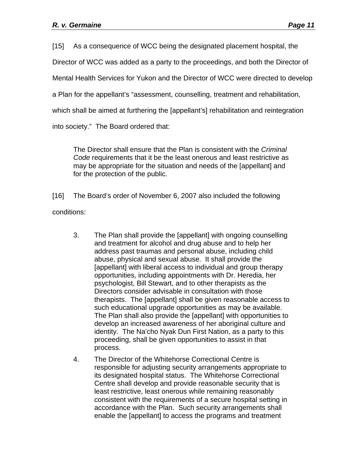[15] As a consequence of WCC being the designated placement hospital, the

Director of WCC was added as a party to the proceedings, and both the Director of

Mental Health Services for Yukon and the Director of WCC were directed to develop

a Plan for the appellant's "assessment, counselling, treatment and rehabilitation,

which shall be aimed at furthering the [appellant's] rehabilitation and reintegration

into society." The Board ordered that:

The Director shall ensure that the Plan is consistent with the *Criminal Code* requirements that it be the least onerous and least restrictive as may be appropriate for the situation and needs of the [appellant] and for the protection of the public.

[16] The Board's order of November 6, 2007 also included the following conditions:

- 3. The Plan shall provide the [appellant] with ongoing counselling and treatment for alcohol and drug abuse and to help her address past traumas and personal abuse, including child abuse, physical and sexual abuse. It shall provide the [appellant] with liberal access to individual and group therapy opportunities, including appointments with Dr. Heredia, her psychologist, Bill Stewart, and to other therapists as the Directors consider advisable in consultation with those therapists. The [appellant] shall be given reasonable access to such educational upgrade opportunities as may be available. The Plan shall also provide the [appellant] with opportunities to develop an increased awareness of her aboriginal culture and identity. The Na'cho Nyak Dun First Nation, as a party to this proceeding, shall be given opportunities to assist in that process.
- 4. The Director of the Whitehorse Correctional Centre is responsible for adjusting security arrangements appropriate to its designated hospital status. The Whitehorse Correctional Centre shall develop and provide reasonable security that is least restrictive, least onerous while remaining reasonably consistent with the requirements of a secure hospital setting in accordance with the Plan. Such security arrangements shall enable the [appellant] to access the programs and treatment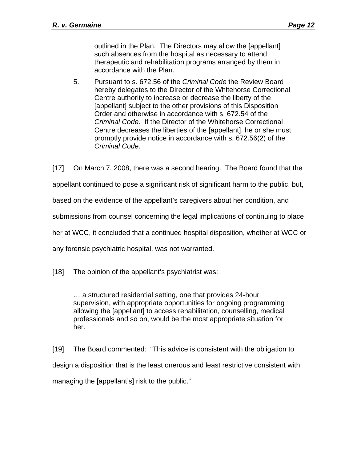outlined in the Plan. The Directors may allow the [appellant] such absences from the hospital as necessary to attend therapeutic and rehabilitation programs arranged by them in accordance with the Plan.

5. Pursuant to s. 672.56 of the *Criminal Code* the Review Board hereby delegates to the Director of the Whitehorse Correctional Centre authority to increase or decrease the liberty of the [appellant] subject to the other provisions of this Disposition Order and otherwise in accordance with s. 672.54 of the *Criminal Code*. If the Director of the Whitehorse Correctional Centre decreases the liberties of the [appellant], he or she must promptly provide notice in accordance with s. 672.56(2) of the *Criminal Code*.

[17] On March 7, 2008, there was a second hearing. The Board found that the appellant continued to pose a significant risk of significant harm to the public, but, based on the evidence of the appellant's caregivers about her condition, and submissions from counsel concerning the legal implications of continuing to place her at WCC, it concluded that a continued hospital disposition, whether at WCC or

any forensic psychiatric hospital, was not warranted.

[18] The opinion of the appellant's psychiatrist was:

… a structured residential setting, one that provides 24-hour supervision, with appropriate opportunities for ongoing programming allowing the [appellant] to access rehabilitation, counselling, medical professionals and so on, would be the most appropriate situation for her.

[19] The Board commented: "This advice is consistent with the obligation to design a disposition that is the least onerous and least restrictive consistent with managing the [appellant's] risk to the public."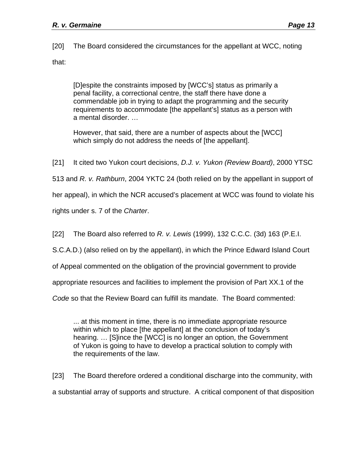[20] The Board considered the circumstances for the appellant at WCC, noting that:

[D]espite the constraints imposed by [WCC's] status as primarily a penal facility, a correctional centre, the staff there have done a commendable job in trying to adapt the programming and the security requirements to accommodate [the appellant's] status as a person with a mental disorder. …

However, that said, there are a number of aspects about the [WCC] which simply do not address the needs of [the appellant].

[21] It cited two Yukon court decisions, *D.J. v. Yukon (Review Board)*, 2000 YTSC

513 and *R. v. Rathburn*, 2004 YKTC 24 (both relied on by the appellant in support of

her appeal), in which the NCR accused's placement at WCC was found to violate his

rights under s. 7 of the *Charter*.

[22] The Board also referred to *R. v. Lewis* (1999), 132 C.C.C. (3d) 163 (P.E.I.

S.C.A.D.) (also relied on by the appellant), in which the Prince Edward Island Court

of Appeal commented on the obligation of the provincial government to provide

appropriate resources and facilities to implement the provision of Part XX.1 of the

*Code* so that the Review Board can fulfill its mandate. The Board commented:

... at this moment in time, there is no immediate appropriate resource within which to place [the appellant] at the conclusion of today's hearing. … [S]ince the [WCC] is no longer an option, the Government of Yukon is going to have to develop a practical solution to comply with the requirements of the law.

[23] The Board therefore ordered a conditional discharge into the community, with a substantial array of supports and structure. A critical component of that disposition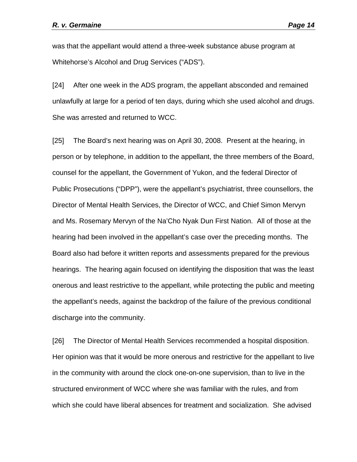was that the appellant would attend a three-week substance abuse program at Whitehorse's Alcohol and Drug Services ("ADS").

[24] After one week in the ADS program, the appellant absconded and remained unlawfully at large for a period of ten days, during which she used alcohol and drugs. She was arrested and returned to WCC.

[25] The Board's next hearing was on April 30, 2008. Present at the hearing, in person or by telephone, in addition to the appellant, the three members of the Board, counsel for the appellant, the Government of Yukon, and the federal Director of Public Prosecutions ("DPP"), were the appellant's psychiatrist, three counsellors, the Director of Mental Health Services, the Director of WCC, and Chief Simon Mervyn and Ms. Rosemary Mervyn of the Na'Cho Nyak Dun First Nation. All of those at the hearing had been involved in the appellant's case over the preceding months. The Board also had before it written reports and assessments prepared for the previous hearings. The hearing again focused on identifying the disposition that was the least onerous and least restrictive to the appellant, while protecting the public and meeting the appellant's needs, against the backdrop of the failure of the previous conditional discharge into the community.

[26] The Director of Mental Health Services recommended a hospital disposition. Her opinion was that it would be more onerous and restrictive for the appellant to live in the community with around the clock one-on-one supervision, than to live in the structured environment of WCC where she was familiar with the rules, and from which she could have liberal absences for treatment and socialization. She advised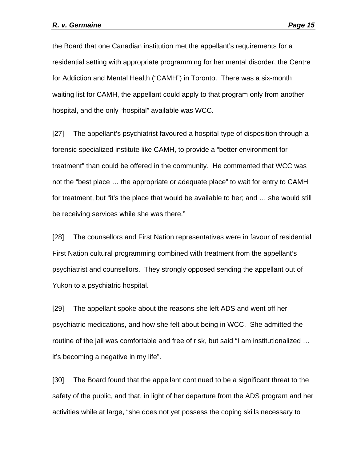the Board that one Canadian institution met the appellant's requirements for a residential setting with appropriate programming for her mental disorder, the Centre for Addiction and Mental Health ("CAMH") in Toronto. There was a six-month waiting list for CAMH, the appellant could apply to that program only from another hospital, and the only "hospital" available was WCC.

[27] The appellant's psychiatrist favoured a hospital-type of disposition through a forensic specialized institute like CAMH, to provide a "better environment for treatment" than could be offered in the community. He commented that WCC was not the "best place … the appropriate or adequate place" to wait for entry to CAMH for treatment, but "it's the place that would be available to her; and … she would still be receiving services while she was there."

[28] The counsellors and First Nation representatives were in favour of residential First Nation cultural programming combined with treatment from the appellant's psychiatrist and counsellors. They strongly opposed sending the appellant out of Yukon to a psychiatric hospital.

[29] The appellant spoke about the reasons she left ADS and went off her psychiatric medications, and how she felt about being in WCC. She admitted the routine of the jail was comfortable and free of risk, but said "I am institutionalized … it's becoming a negative in my life".

[30] The Board found that the appellant continued to be a significant threat to the safety of the public, and that, in light of her departure from the ADS program and her activities while at large, "she does not yet possess the coping skills necessary to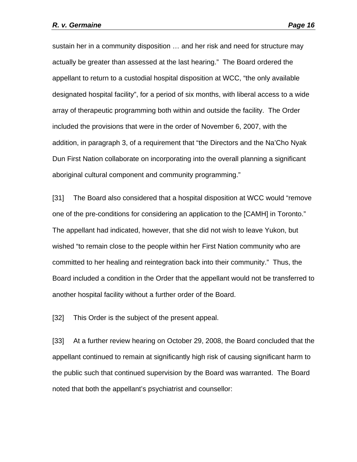sustain her in a community disposition … and her risk and need for structure may actually be greater than assessed at the last hearing." The Board ordered the appellant to return to a custodial hospital disposition at WCC, "the only available designated hospital facility", for a period of six months, with liberal access to a wide array of therapeutic programming both within and outside the facility. The Order included the provisions that were in the order of November 6, 2007, with the addition, in paragraph 3, of a requirement that "the Directors and the Na'Cho Nyak Dun First Nation collaborate on incorporating into the overall planning a significant aboriginal cultural component and community programming."

[31] The Board also considered that a hospital disposition at WCC would "remove one of the pre-conditions for considering an application to the [CAMH] in Toronto." The appellant had indicated, however, that she did not wish to leave Yukon, but wished "to remain close to the people within her First Nation community who are committed to her healing and reintegration back into their community." Thus, the Board included a condition in the Order that the appellant would not be transferred to another hospital facility without a further order of the Board.

[32] This Order is the subject of the present appeal.

[33] At a further review hearing on October 29, 2008, the Board concluded that the appellant continued to remain at significantly high risk of causing significant harm to the public such that continued supervision by the Board was warranted. The Board noted that both the appellant's psychiatrist and counsellor: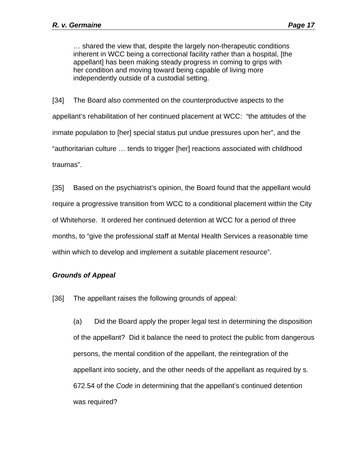… shared the view that, despite the largely non-therapeutic conditions inherent in WCC being a correctional facility rather than a hospital, [the appellant] has been making steady progress in coming to grips with her condition and moving toward being capable of living more independently outside of a custodial setting.

[34] The Board also commented on the counterproductive aspects to the appellant's rehabilitation of her continued placement at WCC: "the attitudes of the inmate population to [her] special status put undue pressures upon her", and the "authoritarian culture … tends to trigger [her] reactions associated with childhood traumas".

[35] Based on the psychiatrist's opinion, the Board found that the appellant would require a progressive transition from WCC to a conditional placement within the City of Whitehorse. It ordered her continued detention at WCC for a period of three months, to "give the professional staff at Mental Health Services a reasonable time within which to develop and implement a suitable placement resource".

#### *Grounds of Appeal*

[36] The appellant raises the following grounds of appeal:

(a) Did the Board apply the proper legal test in determining the disposition of the appellant? Did it balance the need to protect the public from dangerous persons, the mental condition of the appellant, the reintegration of the appellant into society, and the other needs of the appellant as required by s. 672.54 of the *Code* in determining that the appellant's continued detention was required?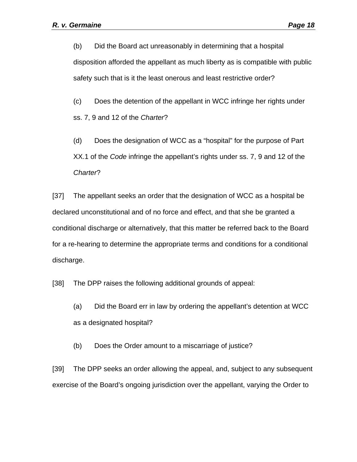(b) Did the Board act unreasonably in determining that a hospital disposition afforded the appellant as much liberty as is compatible with public safety such that is it the least onerous and least restrictive order?

(c) Does the detention of the appellant in WCC infringe her rights under ss. 7, 9 and 12 of the *Charter*?

(d) Does the designation of WCC as a "hospital" for the purpose of Part XX.1 of the *Code* infringe the appellant's rights under ss. 7, 9 and 12 of the *Charter*?

[37] The appellant seeks an order that the designation of WCC as a hospital be declared unconstitutional and of no force and effect, and that she be granted a conditional discharge or alternatively, that this matter be referred back to the Board for a re-hearing to determine the appropriate terms and conditions for a conditional discharge.

[38] The DPP raises the following additional grounds of appeal:

(a) Did the Board err in law by ordering the appellant's detention at WCC as a designated hospital?

(b) Does the Order amount to a miscarriage of justice?

[39] The DPP seeks an order allowing the appeal, and, subject to any subsequent exercise of the Board's ongoing jurisdiction over the appellant, varying the Order to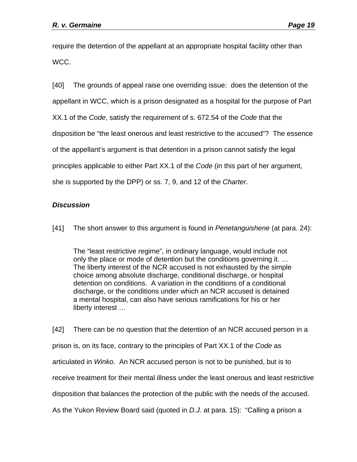require the detention of the appellant at an appropriate hospital facility other than WCC.

[40] The grounds of appeal raise one overriding issue: does the detention of the appellant in WCC, which is a prison designated as a hospital for the purpose of Part XX.1 of the *Code*, satisfy the requirement of s. 672.54 of the *Code* that the disposition be "the least onerous and least restrictive to the accused"? The essence of the appellant's argument is that detention in a prison cannot satisfy the legal principles applicable to either Part XX.1 of the *Code* (in this part of her argument, she is supported by the DPP) or ss. 7, 9, and 12 of the *Charter*.

## *Discussion*

[41] The short answer to this argument is found in *Penetanguishene* (at para. 24):

The "least restrictive regime", in ordinary language, would include not only the place or mode of detention but the conditions governing it. … The liberty interest of the NCR accused is not exhausted by the simple choice among absolute discharge, conditional discharge, or hospital detention on conditions. A variation in the conditions of a conditional discharge, or the conditions under which an NCR accused is detained a mental hospital, can also have serious ramifications for his or her liberty interest …

[42] There can be no question that the detention of an NCR accused person in a prison is, on its face, contrary to the principles of Part XX.1 of the *Code* as articulated in *Winko*. An NCR accused person is not to be punished, but is to receive treatment for their mental illness under the least onerous and least restrictive disposition that balances the protection of the public with the needs of the accused. As the Yukon Review Board said (quoted in *D.J.* at para. 15): "Calling a prison a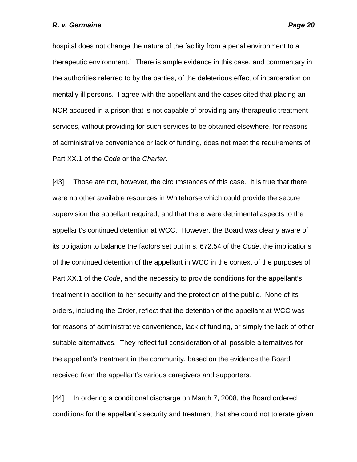hospital does not change the nature of the facility from a penal environment to a therapeutic environment." There is ample evidence in this case, and commentary in the authorities referred to by the parties, of the deleterious effect of incarceration on mentally ill persons. I agree with the appellant and the cases cited that placing an NCR accused in a prison that is not capable of providing any therapeutic treatment services, without providing for such services to be obtained elsewhere, for reasons of administrative convenience or lack of funding, does not meet the requirements of Part XX.1 of the *Code* or the *Charter*.

[43] Those are not, however, the circumstances of this case. It is true that there were no other available resources in Whitehorse which could provide the secure supervision the appellant required, and that there were detrimental aspects to the appellant's continued detention at WCC. However, the Board was clearly aware of its obligation to balance the factors set out in s. 672.54 of the *Code*, the implications of the continued detention of the appellant in WCC in the context of the purposes of Part XX.1 of the *Code*, and the necessity to provide conditions for the appellant's treatment in addition to her security and the protection of the public. None of its orders, including the Order, reflect that the detention of the appellant at WCC was for reasons of administrative convenience, lack of funding, or simply the lack of other suitable alternatives. They reflect full consideration of all possible alternatives for the appellant's treatment in the community, based on the evidence the Board received from the appellant's various caregivers and supporters.

[44] In ordering a conditional discharge on March 7, 2008, the Board ordered conditions for the appellant's security and treatment that she could not tolerate given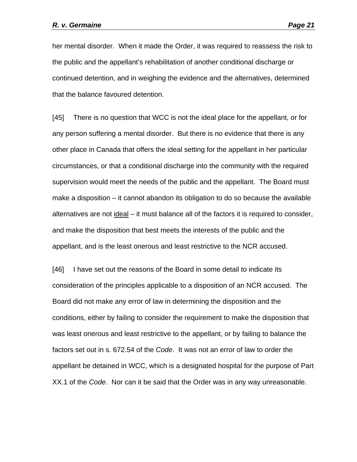her mental disorder. When it made the Order, it was required to reassess the risk to the public and the appellant's rehabilitation of another conditional discharge or continued detention, and in weighing the evidence and the alternatives, determined that the balance favoured detention.

[45] There is no question that WCC is not the ideal place for the appellant, or for any person suffering a mental disorder. But there is no evidence that there is any other place in Canada that offers the ideal setting for the appellant in her particular circumstances, or that a conditional discharge into the community with the required supervision would meet the needs of the public and the appellant. The Board must make a disposition – it cannot abandon its obligation to do so because the available alternatives are not ideal – it must balance all of the factors it is required to consider, and make the disposition that best meets the interests of the public and the appellant, and is the least onerous and least restrictive to the NCR accused.

[46] I have set out the reasons of the Board in some detail to indicate its consideration of the principles applicable to a disposition of an NCR accused. The Board did not make any error of law in determining the disposition and the conditions, either by failing to consider the requirement to make the disposition that was least onerous and least restrictive to the appellant, or by failing to balance the factors set out in s. 672.54 of the *Code*. It was not an error of law to order the appellant be detained in WCC, which is a designated hospital for the purpose of Part XX.1 of the *Code*. Nor can it be said that the Order was in any way unreasonable.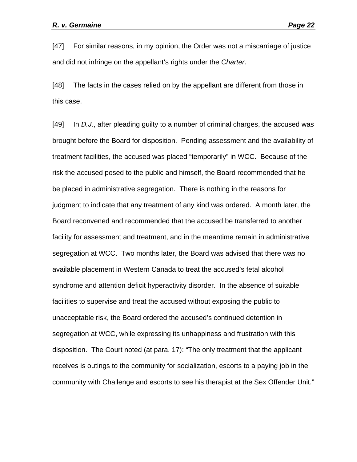[47] For similar reasons, in my opinion, the Order was not a miscarriage of justice and did not infringe on the appellant's rights under the *Charter*.

[48] The facts in the cases relied on by the appellant are different from those in this case.

[49] In *D.J.*, after pleading guilty to a number of criminal charges, the accused was brought before the Board for disposition. Pending assessment and the availability of treatment facilities, the accused was placed "temporarily" in WCC. Because of the risk the accused posed to the public and himself, the Board recommended that he be placed in administrative segregation. There is nothing in the reasons for judgment to indicate that any treatment of any kind was ordered. A month later, the Board reconvened and recommended that the accused be transferred to another facility for assessment and treatment, and in the meantime remain in administrative segregation at WCC. Two months later, the Board was advised that there was no available placement in Western Canada to treat the accused's fetal alcohol syndrome and attention deficit hyperactivity disorder. In the absence of suitable facilities to supervise and treat the accused without exposing the public to unacceptable risk, the Board ordered the accused's continued detention in segregation at WCC, while expressing its unhappiness and frustration with this disposition. The Court noted (at para. 17): "The only treatment that the applicant receives is outings to the community for socialization, escorts to a paying job in the community with Challenge and escorts to see his therapist at the Sex Offender Unit."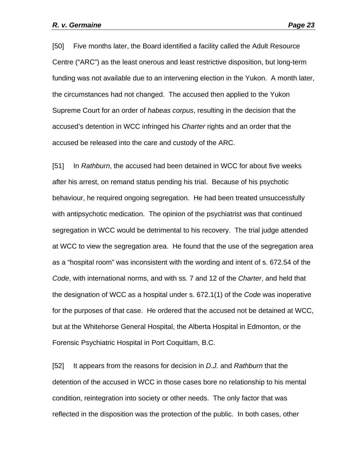[50] Five months later, the Board identified a facility called the Adult Resource Centre ("ARC") as the least onerous and least restrictive disposition, but long-term funding was not available due to an intervening election in the Yukon. A month later, the circumstances had not changed. The accused then applied to the Yukon Supreme Court for an order of *habeas corpus*, resulting in the decision that the accused's detention in WCC infringed his *Charter* rights and an order that the accused be released into the care and custody of the ARC.

[51] In *Rathburn*, the accused had been detained in WCC for about five weeks after his arrest, on remand status pending his trial. Because of his psychotic behaviour, he required ongoing segregation. He had been treated unsuccessfully with antipsychotic medication. The opinion of the psychiatrist was that continued segregation in WCC would be detrimental to his recovery. The trial judge attended at WCC to view the segregation area. He found that the use of the segregation area as a "hospital room" was inconsistent with the wording and intent of s. 672.54 of the *Code*, with international norms, and with ss. 7 and 12 of the *Charter*, and held that the designation of WCC as a hospital under s. 672.1(1) of the *Code* was inoperative for the purposes of that case. He ordered that the accused not be detained at WCC, but at the Whitehorse General Hospital, the Alberta Hospital in Edmonton, or the Forensic Psychiatric Hospital in Port Coquitlam, B.C.

[52] It appears from the reasons for decision in *D.J.* and *Rathburn* that the detention of the accused in WCC in those cases bore no relationship to his mental condition, reintegration into society or other needs. The only factor that was reflected in the disposition was the protection of the public. In both cases, other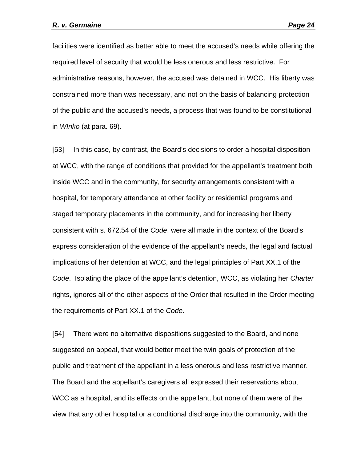facilities were identified as better able to meet the accused's needs while offering the required level of security that would be less onerous and less restrictive. For administrative reasons, however, the accused was detained in WCC. His liberty was constrained more than was necessary, and not on the basis of balancing protection of the public and the accused's needs, a process that was found to be constitutional in *WInko* (at para. 69).

[53] In this case, by contrast, the Board's decisions to order a hospital disposition at WCC, with the range of conditions that provided for the appellant's treatment both inside WCC and in the community, for security arrangements consistent with a hospital, for temporary attendance at other facility or residential programs and staged temporary placements in the community, and for increasing her liberty consistent with s. 672.54 of the *Code*, were all made in the context of the Board's express consideration of the evidence of the appellant's needs, the legal and factual implications of her detention at WCC, and the legal principles of Part XX.1 of the *Code*. Isolating the place of the appellant's detention, WCC, as violating her *Charter* rights, ignores all of the other aspects of the Order that resulted in the Order meeting the requirements of Part XX.1 of the *Code*.

[54] There were no alternative dispositions suggested to the Board, and none suggested on appeal, that would better meet the twin goals of protection of the public and treatment of the appellant in a less onerous and less restrictive manner. The Board and the appellant's caregivers all expressed their reservations about WCC as a hospital, and its effects on the appellant, but none of them were of the view that any other hospital or a conditional discharge into the community, with the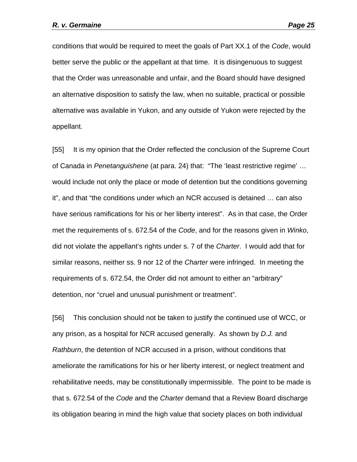conditions that would be required to meet the goals of Part XX.1 of the *Code*, would better serve the public or the appellant at that time. It is disingenuous to suggest that the Order was unreasonable and unfair, and the Board should have designed an alternative disposition to satisfy the law, when no suitable, practical or possible alternative was available in Yukon, and any outside of Yukon were rejected by the appellant.

[55] It is my opinion that the Order reflected the conclusion of the Supreme Court of Canada in *Penetanguishene* (at para. 24) that: "The 'least restrictive regime' … would include not only the place or mode of detention but the conditions governing it", and that "the conditions under which an NCR accused is detained … can also have serious ramifications for his or her liberty interest". As in that case, the Order met the requirements of s. 672.54 of the *Code*, and for the reasons given in *Winko*, did not violate the appellant's rights under s. 7 of the *Charter*. I would add that for similar reasons, neither ss. 9 nor 12 of the *Charter* were infringed. In meeting the requirements of s. 672.54, the Order did not amount to either an "arbitrary" detention, nor "cruel and unusual punishment or treatment".

[56] This conclusion should not be taken to justify the continued use of WCC, or any prison, as a hospital for NCR accused generally. As shown by *D.J.* and *Rathburn*, the detention of NCR accused in a prison, without conditions that ameliorate the ramifications for his or her liberty interest, or neglect treatment and rehabilitative needs, may be constitutionally impermissible. The point to be made is that s. 672.54 of the *Code* and the *Charter* demand that a Review Board discharge its obligation bearing in mind the high value that society places on both individual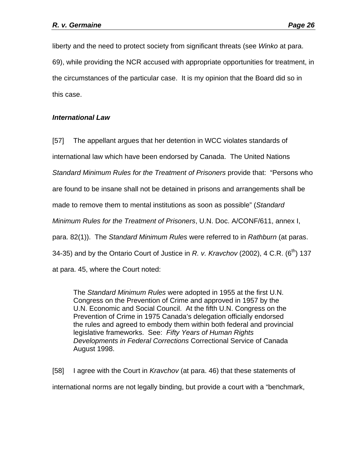liberty and the need to protect society from significant threats (see *Winko* at para. 69), while providing the NCR accused with appropriate opportunities for treatment, in the circumstances of the particular case. It is my opinion that the Board did so in this case.

## *International Law*

[57] The appellant argues that her detention in WCC violates standards of

international law which have been endorsed by Canada. The United Nations

*Standard Minimum Rules for the Treatment of Prisoners* provide that: "Persons who

are found to be insane shall not be detained in prisons and arrangements shall be

made to remove them to mental institutions as soon as possible" (*Standard* 

*Minimum Rules for the Treatment of Prisoners*, U.N. Doc. A/CONF/611, annex I,

para. 82(1)). The *Standard Minimum Rules* were referred to in *Rathburn* (at paras.

34-35) and by the Ontario Court of Justice in *R. v. Kravchov* (2002), 4 C.R. ( $6<sup>th</sup>$ ) 137

at para. 45, where the Court noted:

The *Standard Minimum Rules* were adopted in 1955 at the first U.N. Congress on the Prevention of Crime and approved in 1957 by the U.N. Economic and Social Council. At the fifth U.N. Congress on the Prevention of Crime in 1975 Canada's delegation officially endorsed the rules and agreed to embody them within both federal and provincial legislative frameworks. See: *Fifty Years of Human Rights Developments in Federal Corrections* Correctional Service of Canada August 1998.

[58] I agree with the Court in *Kravchov* (at para. 46) that these statements of international norms are not legally binding, but provide a court with a "benchmark,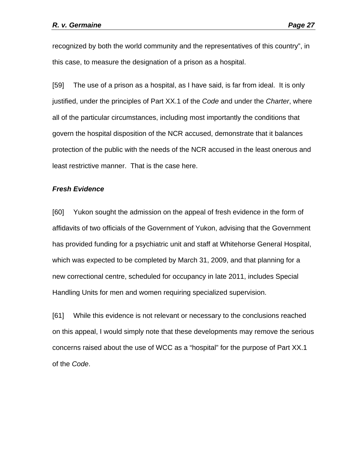recognized by both the world community and the representatives of this country", in this case, to measure the designation of a prison as a hospital.

[59] The use of a prison as a hospital, as I have said, is far from ideal. It is only justified, under the principles of Part XX.1 of the *Code* and under the *Charter*, where all of the particular circumstances, including most importantly the conditions that govern the hospital disposition of the NCR accused, demonstrate that it balances protection of the public with the needs of the NCR accused in the least onerous and least restrictive manner. That is the case here.

#### *Fresh Evidence*

[60] Yukon sought the admission on the appeal of fresh evidence in the form of affidavits of two officials of the Government of Yukon, advising that the Government has provided funding for a psychiatric unit and staff at Whitehorse General Hospital, which was expected to be completed by March 31, 2009, and that planning for a new correctional centre, scheduled for occupancy in late 2011, includes Special Handling Units for men and women requiring specialized supervision.

[61] While this evidence is not relevant or necessary to the conclusions reached on this appeal, I would simply note that these developments may remove the serious concerns raised about the use of WCC as a "hospital" for the purpose of Part XX.1 of the *Code*.